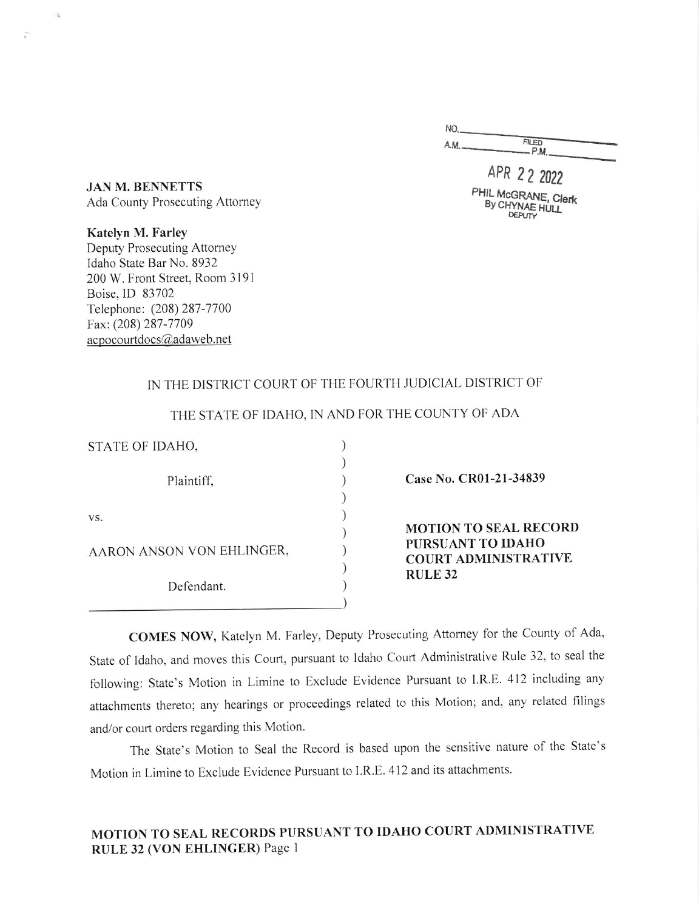| <b>FILED</b><br>$-P.M.$ |
|-------------------------|
|                         |

APR 22 <sup>2022</sup> PHIL MCGRANE, Clerk<br>By CHYNAE HULL

JAN M. BENNETTS Ada County Prosecuting Attomey

 $\mathcal{L}_h$ 

Katelyn M. Farley Deputy Prosecuting Attorney Idaho State Bar No. 8932 200 W. Front Street, Room 3191 Boise, ID 83702 Telephone: (208) 287 -7700 Fax: (208) 287-7709  $a$ cpocourtdocs $@$ adaweb.net

### IN THE DISTRICT COURT OF THE FOURTH JUDICIAL DISTRICT OF

| STATE OF IDAHO,           |  |                                                                                  |
|---------------------------|--|----------------------------------------------------------------------------------|
| Plaintiff,                |  | Case No. CR01-21-34839                                                           |
| VS.                       |  | <b>MOTION TO SEAL RECORD</b><br>PURSUANT TO IDAHO<br><b>COURT ADMINISTRATIVE</b> |
| AARON ANSON VON EHLINGER, |  |                                                                                  |
| Defendant.                |  | <b>RULE 32</b>                                                                   |
|                           |  |                                                                                  |

THE STATE OF IDAHO, IN AND FOR THE COUNTY OF ADA

COMES NOW, Katelyn M. Farley, Deputy Prosecuting Attorney for the County of Ada, State of tdaho, and moves this Court, pursuant to Idaho Court Administrative Rule 32, to seal the following: state's Motion in Limine to Exclude Evidence Pursuant to I.R.E.4l2 including any afiachments thereto; any hcarings or proceedings related to this Motion; and, any rclated filings and/or court orders regarding this Motion.

The State's Motion to Seal the Record is based upon the sensitive nature of the State's Motion in Limine to Exclude Evidence Pursuant to I.R.E. 412 and its attachments.

# MOTION TO SEAL RECORDS PURSUANT TO IDAHO COURT ADMINISTRATIVE RULE 32 (VON EHLINGER) Page I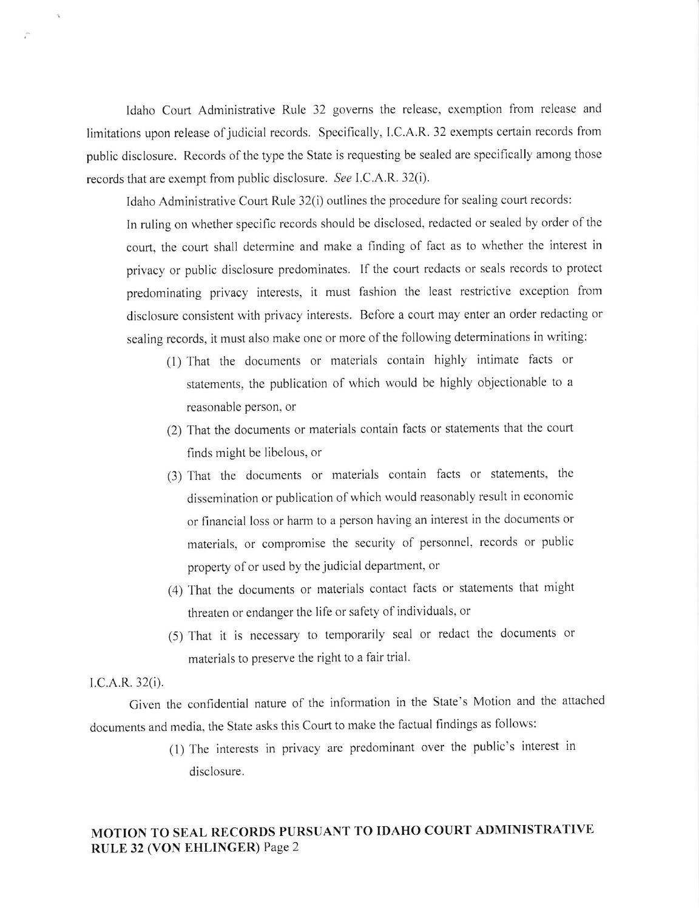ldaho Court Administrative Rule 32 governs the relcase, exemption from release and limitations upon release of judicial records. Specifically, I.C.A.R. 32 exempts certain records from public disclosure. Records of the type the State is requesting be sealed are specifically among those records that are exempt from public disclosure. See I.C.A.R. 32(i).

Idaho Administrative Court Rule 32(i) outlines the procedure for sealing court records:

In ruling on whether specific records should be disclosed, rcdacted or sealed by order of thc court, the court shall determine and make a finding of fact as to whether the interest in privacy or public disclosure predominates. If the court redacts or seals records to protect predominating privacy interests, it must fashion the least restrictive exception from disclosure consistent with privacy interests. Before a court may enter an order redacting or sealing records, it must also make one or more of the following determinations in writing:

- (l) That the documents or materials contain highly intimate facts or statemcnts, the publication of which would be highly objectionable to <sup>a</sup> reasonable person, or
- (2) That the documents or materials contain facts or statements that the court finds might be libelous, or
- (3) That the documents or materials contain facts or statements, the dissemination or publication of which would reasonably result in economic or financial loss or harm to a person having an interest in the documents or materials, or compromise the security of personnel, records or public property of or used by the judicial department, or
- (4) That the documents or materials contact facts or statements that might threaten or endanger the life or safety of individuals, or
- (5) That it is necessary to temporarily seal or redact the documents or materials to preserve the right to a fair trial.

#### I.C.A.R. 32(i).

Given the confidential nature of the information in the State's Motion and the attached documents and media. the State asks this Court to make the factual findings as follows:

> (l) The interests in privacy are predominant over the public's interest in disclosure.

## MOTION TO SEAL RECORDS PURSUANT TO IDAHO COURT ADMINISTRATIVE RULE 32 (VON EHLINGER) Page 2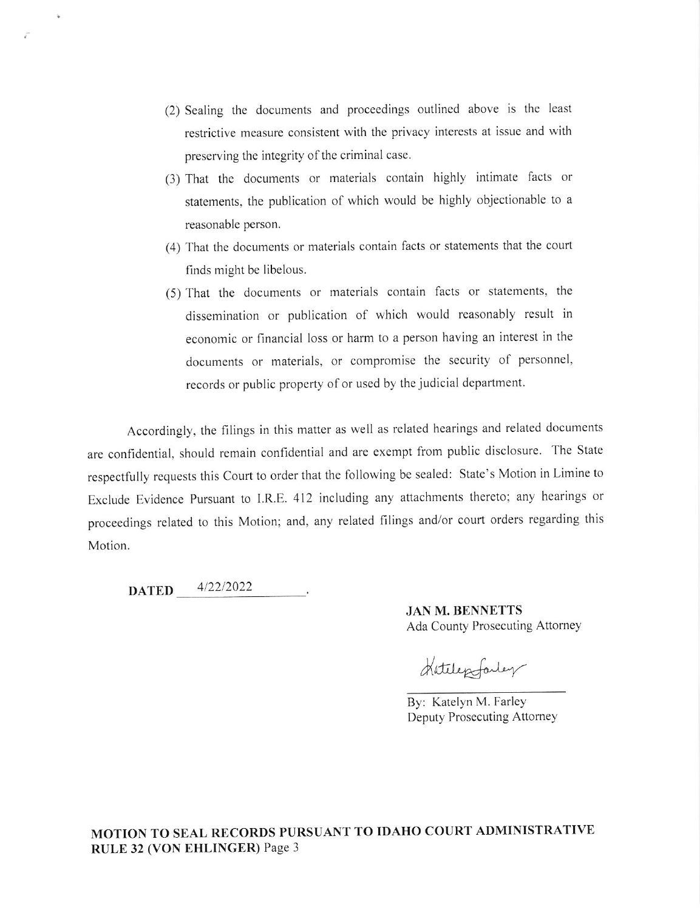- (2) Sealing thc documents and procecdings outlined above is the least restrictive measure consistent with the privacy interests at issue and with preserving the integrity of the criminal case.
- (3) That the documents or materials contain highly intimate facts or statements, the publication of which would be highly objectionable to a reasonable person.
- (4) That the documents or materials contain facts or statements that the court finds might be libelous.
- (5) That the documents or materials contain facts or statements, the dissemination or publication of which would reasonably result in economic or financial loss or harm to a person having an interest in the documents or materials, or compromise the sccurity of personnel, records or public property of or used by the judicial department.

Accordingly, the filings in this matter as well as related hearings and related documents are confidential. should remain confidential and are exempt from public disclosure. The State respectfully requests this Court to order that the following be scaled: State's Motion in Limine to Exclude Evidence Pursuant to l.R.E. 412 including any attachments thereto; any hearings or proceedings related to this Motion; and, any related filings and/or court orders regarding this Motion.

**DATED** 4/22/2022

JAN M. BENNETTS Ada County Prosecuting Attorney

Hatelepfarley

By: Katelyn M. Farley Deputy Prosecuting Attorney